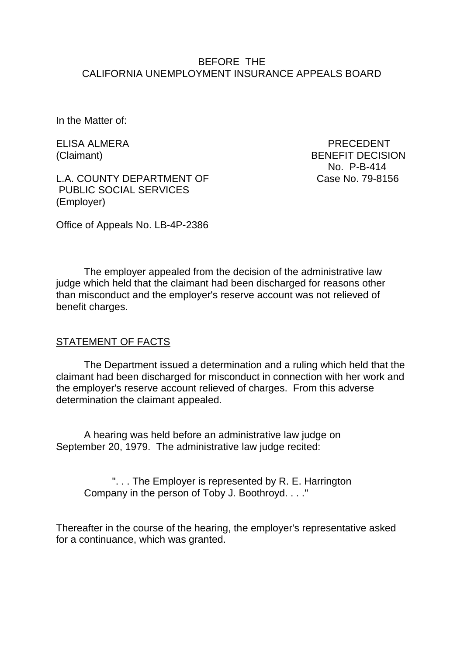#### BEFORE THE CALIFORNIA UNEMPLOYMENT INSURANCE APPEALS BOARD

In the Matter of:

L.A. COUNTY DEPARTMENT OF Case No. 79-8156 PUBLIC SOCIAL SERVICES (Employer)

ELISA ALMERA PRECEDENT (Claimant) BENEFIT DECISION No. P-B-414

Office of Appeals No. LB-4P-2386

The employer appealed from the decision of the administrative law judge which held that the claimant had been discharged for reasons other than misconduct and the employer's reserve account was not relieved of benefit charges.

#### STATEMENT OF FACTS

The Department issued a determination and a ruling which held that the claimant had been discharged for misconduct in connection with her work and the employer's reserve account relieved of charges. From this adverse determination the claimant appealed.

A hearing was held before an administrative law judge on September 20, 1979. The administrative law judge recited:

". . . The Employer is represented by R. E. Harrington Company in the person of Toby J. Boothroyd. . . ."

Thereafter in the course of the hearing, the employer's representative asked for a continuance, which was granted.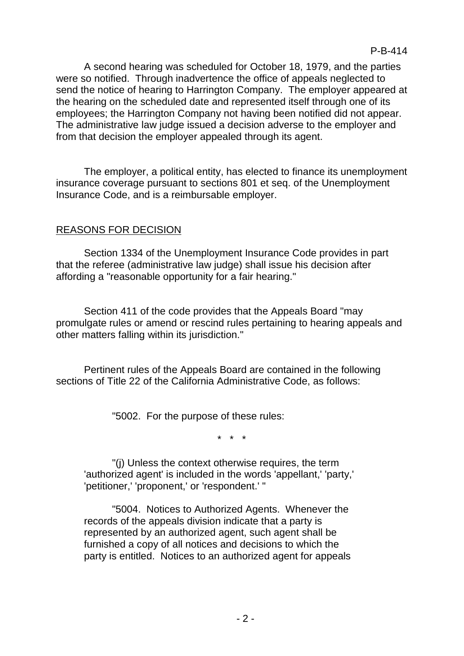A second hearing was scheduled for October 18, 1979, and the parties were so notified. Through inadvertence the office of appeals neglected to send the notice of hearing to Harrington Company. The employer appeared at the hearing on the scheduled date and represented itself through one of its employees; the Harrington Company not having been notified did not appear. The administrative law judge issued a decision adverse to the employer and from that decision the employer appealed through its agent.

The employer, a political entity, has elected to finance its unemployment insurance coverage pursuant to sections 801 et seq. of the Unemployment Insurance Code, and is a reimbursable employer.

## REASONS FOR DECISION

Section 1334 of the Unemployment Insurance Code provides in part that the referee (administrative law judge) shall issue his decision after affording a "reasonable opportunity for a fair hearing."

Section 411 of the code provides that the Appeals Board "may promulgate rules or amend or rescind rules pertaining to hearing appeals and other matters falling within its jurisdiction."

Pertinent rules of the Appeals Board are contained in the following sections of Title 22 of the California Administrative Code, as follows:

"5002. For the purpose of these rules:

\* \* \*

"(j) Unless the context otherwise requires, the term 'authorized agent' is included in the words 'appellant,' 'party,' 'petitioner,' 'proponent,' or 'respondent.' "

"5004. Notices to Authorized Agents. Whenever the records of the appeals division indicate that a party is represented by an authorized agent, such agent shall be furnished a copy of all notices and decisions to which the party is entitled. Notices to an authorized agent for appeals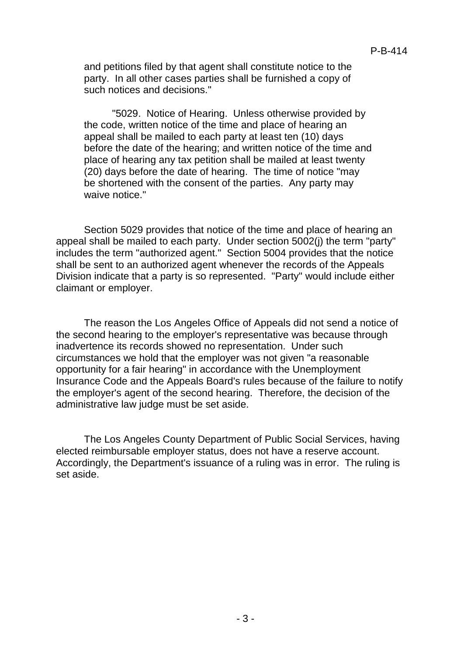and petitions filed by that agent shall constitute notice to the party. In all other cases parties shall be furnished a copy of such notices and decisions."

"5029. Notice of Hearing. Unless otherwise provided by the code, written notice of the time and place of hearing an appeal shall be mailed to each party at least ten (10) days before the date of the hearing; and written notice of the time and place of hearing any tax petition shall be mailed at least twenty (20) days before the date of hearing. The time of notice "may be shortened with the consent of the parties. Any party may waive notice."

Section 5029 provides that notice of the time and place of hearing an appeal shall be mailed to each party. Under section 5002(j) the term "party" includes the term "authorized agent." Section 5004 provides that the notice shall be sent to an authorized agent whenever the records of the Appeals Division indicate that a party is so represented. "Party" would include either claimant or employer.

The reason the Los Angeles Office of Appeals did not send a notice of the second hearing to the employer's representative was because through inadvertence its records showed no representation. Under such circumstances we hold that the employer was not given "a reasonable opportunity for a fair hearing" in accordance with the Unemployment Insurance Code and the Appeals Board's rules because of the failure to notify the employer's agent of the second hearing. Therefore, the decision of the administrative law judge must be set aside.

The Los Angeles County Department of Public Social Services, having elected reimbursable employer status, does not have a reserve account. Accordingly, the Department's issuance of a ruling was in error. The ruling is set aside.